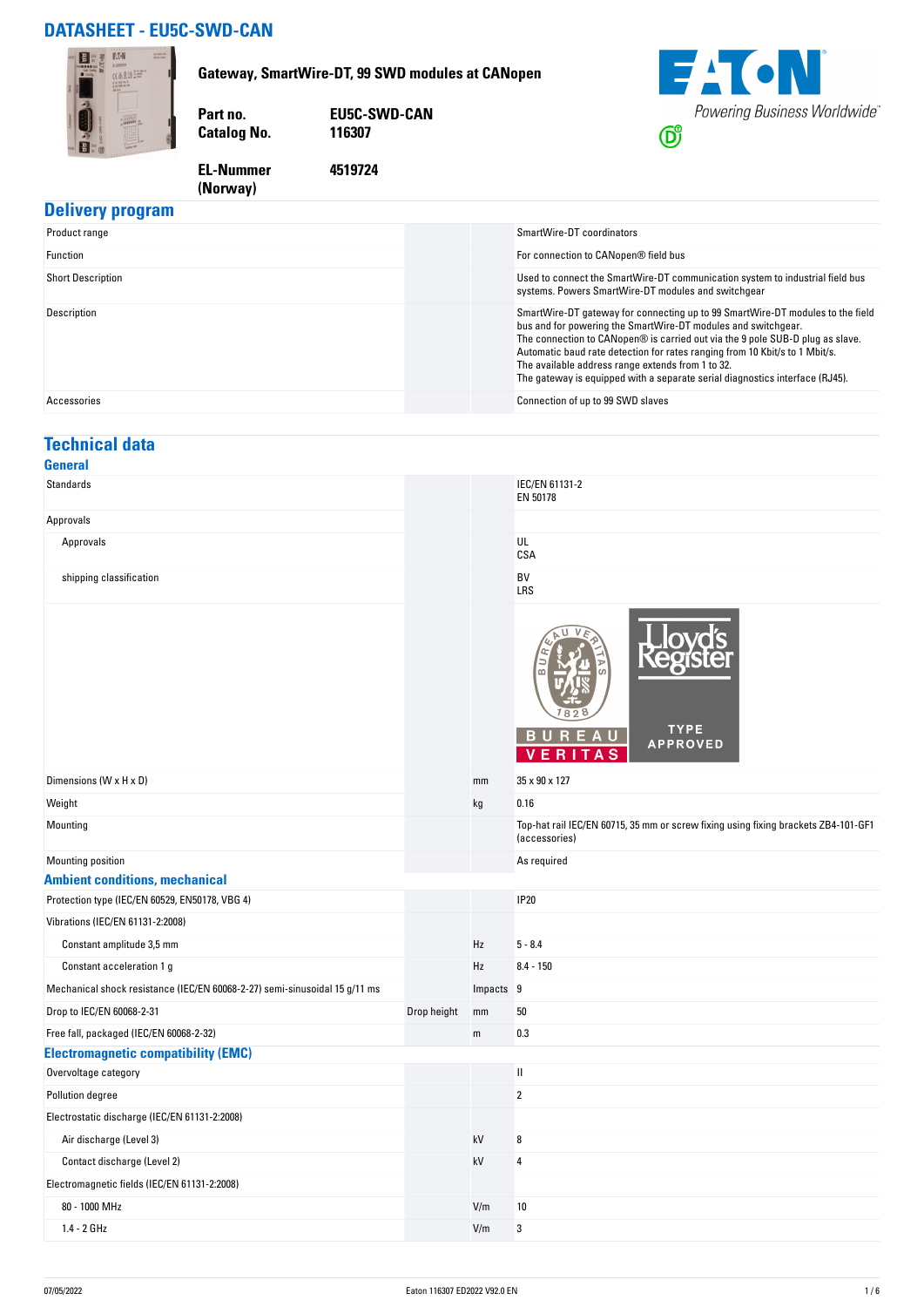## **DATASHEET - EU5C-SWD-CAN**

**(Norway)** 



#### **Delivery program**

| Product range            | SmartWire-DT coordinators                                                                                                                                                                                                                                                                                                                                                                                                                            |
|--------------------------|------------------------------------------------------------------------------------------------------------------------------------------------------------------------------------------------------------------------------------------------------------------------------------------------------------------------------------------------------------------------------------------------------------------------------------------------------|
| Function                 | For connection to CANopen® field bus                                                                                                                                                                                                                                                                                                                                                                                                                 |
| <b>Short Description</b> | Used to connect the SmartWire-DT communication system to industrial field bus<br>systems. Powers SmartWire-DT modules and switchgear                                                                                                                                                                                                                                                                                                                 |
| Description              | SmartWire-DT gateway for connecting up to 99 SmartWire-DT modules to the field<br>bus and for powering the SmartWire-DT modules and switchgear.<br>The connection to CANopen® is carried out via the 9 pole SUB-D plug as slave.<br>Automatic baud rate detection for rates ranging from 10 Kbit/s to 1 Mbit/s.<br>The available address range extends from 1 to 32.<br>The gateway is equipped with a separate serial diagnostics interface (RJ45). |
| Accessories              | Connection of up to 99 SWD slaves                                                                                                                                                                                                                                                                                                                                                                                                                    |

## **Technical data**

| General                                                                    |             |           |                                                                                                     |
|----------------------------------------------------------------------------|-------------|-----------|-----------------------------------------------------------------------------------------------------|
| Standards                                                                  |             |           | IEC/EN 61131-2<br>EN 50178                                                                          |
| Approvals                                                                  |             |           |                                                                                                     |
| Approvals                                                                  |             |           | UL<br>CSA                                                                                           |
| shipping classification                                                    |             |           | BV<br>LRS                                                                                           |
|                                                                            |             |           | <b>ds</b><br><b>TYPE</b><br>BUREAU<br><b>APPROVED</b><br>S                                          |
| Dimensions (W x H x D)                                                     |             | mm        | 35 x 90 x 127                                                                                       |
| Weight                                                                     |             | kg        | 0.16                                                                                                |
| Mounting                                                                   |             |           | Top-hat rail IEC/EN 60715, 35 mm or screw fixing using fixing brackets ZB4-101-GF1<br>(accessories) |
| Mounting position                                                          |             |           | As required                                                                                         |
| <b>Ambient conditions, mechanical</b>                                      |             |           |                                                                                                     |
| Protection type (IEC/EN 60529, EN50178, VBG 4)                             |             |           | <b>IP20</b>                                                                                         |
| Vibrations (IEC/EN 61131-2:2008)                                           |             |           |                                                                                                     |
| Constant amplitude 3,5 mm                                                  |             | Hz        | $5 - 8.4$                                                                                           |
| Constant acceleration 1 g                                                  |             | Hz        | $8.4 - 150$                                                                                         |
| Mechanical shock resistance (IEC/EN 60068-2-27) semi-sinusoidal 15 g/11 ms |             | Impacts 9 |                                                                                                     |
| Drop to IEC/EN 60068-2-31                                                  | Drop height | mm        | 50                                                                                                  |
| Free fall, packaged (IEC/EN 60068-2-32)                                    |             | ${\sf m}$ | 0.3                                                                                                 |
| <b>Electromagnetic compatibility (EMC)</b>                                 |             |           |                                                                                                     |
| Overvoltage category                                                       |             |           | $\ensuremath{\mathsf{II}}$                                                                          |
| Pollution degree                                                           |             |           | $\overline{2}$                                                                                      |
| Electrostatic discharge (IEC/EN 61131-2:2008)                              |             |           |                                                                                                     |
| Air discharge (Level 3)                                                    |             | kV        | 8                                                                                                   |
| Contact discharge (Level 2)                                                |             | kV        | $\overline{4}$                                                                                      |
| Electromagnetic fields (IEC/EN 61131-2:2008)                               |             |           |                                                                                                     |
| 80 - 1000 MHz                                                              |             | V/m       | 10                                                                                                  |
| 1.4 - 2 GHz                                                                |             | V/m       | 3                                                                                                   |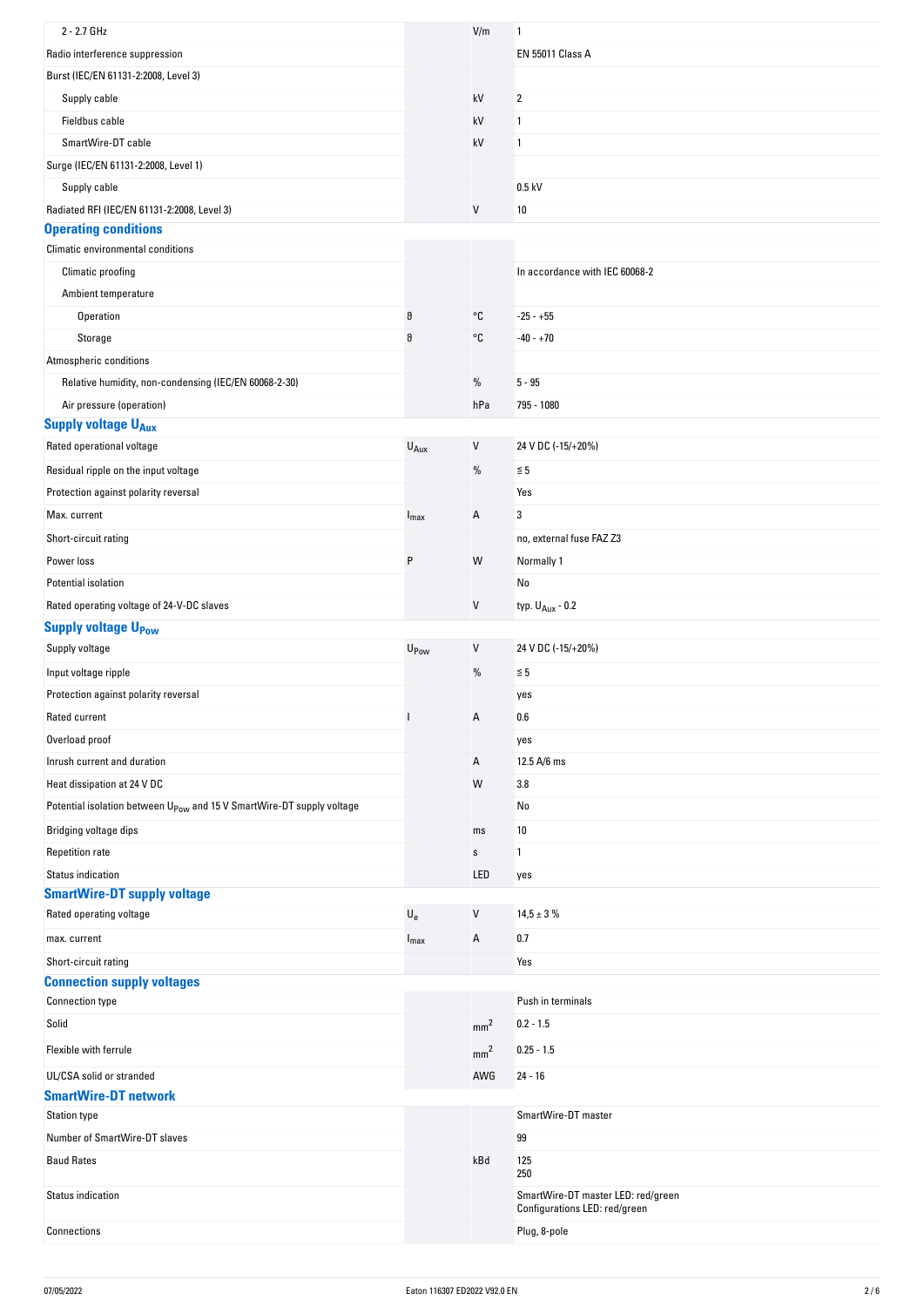| 2 - 2.7 GHz                                                                       |                           | V/m             | 1                                                                   |
|-----------------------------------------------------------------------------------|---------------------------|-----------------|---------------------------------------------------------------------|
| Radio interference suppression                                                    |                           |                 | <b>EN 55011 Class A</b>                                             |
| Burst (IEC/EN 61131-2:2008, Level 3)                                              |                           |                 |                                                                     |
| Supply cable                                                                      |                           | kV              | 2                                                                   |
| Fieldbus cable                                                                    |                           | kV              | 1                                                                   |
| SmartWire-DT cable                                                                |                           | kV              | 1                                                                   |
| Surge (IEC/EN 61131-2:2008, Level 1)                                              |                           |                 |                                                                     |
| Supply cable                                                                      |                           |                 | $0.5$ kV                                                            |
| Radiated RFI (IEC/EN 61131-2:2008, Level 3)                                       |                           | V               | 10                                                                  |
| <b>Operating conditions</b>                                                       |                           |                 |                                                                     |
| Climatic environmental conditions                                                 |                           |                 |                                                                     |
| Climatic proofing                                                                 |                           |                 | In accordance with IEC 60068-2                                      |
| Ambient temperature                                                               |                           |                 |                                                                     |
| Operation                                                                         | $\vartheta$               | °C              | $-25 - +55$                                                         |
| Storage                                                                           | $\vartheta$               | °C              | $-40 - +70$                                                         |
| Atmospheric conditions                                                            |                           |                 |                                                                     |
| Relative humidity, non-condensing (IEC/EN 60068-2-30)                             |                           | $\%$            | $5 - 95$                                                            |
| Air pressure (operation)                                                          |                           | hPa             | 795 - 1080                                                          |
| <b>Supply voltage UAux</b>                                                        |                           |                 |                                                                     |
| Rated operational voltage                                                         | $U_{Aux}$                 | $\sf V$         | 24 V DC (-15/+20%)                                                  |
| Residual ripple on the input voltage                                              |                           | %               | $\leq 5$                                                            |
| Protection against polarity reversal                                              |                           |                 | Yes                                                                 |
| Max. current                                                                      | $I_{\text{max}}$          | Α               | 3                                                                   |
| Short-circuit rating                                                              |                           |                 | no, external fuse FAZ Z3                                            |
| Power loss                                                                        | P                         | W               | Normally 1                                                          |
| Potential isolation                                                               |                           |                 | No                                                                  |
| Rated operating voltage of 24-V-DC slaves                                         |                           | V               | typ. $U_{Aux}$ - 0.2                                                |
| <b>Supply voltage UPow</b>                                                        |                           |                 |                                                                     |
| Supply voltage                                                                    | U <sub>Pow</sub>          | V               | 24 V DC (-15/+20%)                                                  |
| Input voltage ripple                                                              |                           | $\%$            | $\leq 5$                                                            |
| Protection against polarity reversal                                              |                           |                 | yes                                                                 |
| Rated current                                                                     |                           | А               | 0.6                                                                 |
| Overload proof                                                                    |                           |                 | yes                                                                 |
| Inrush current and duration                                                       |                           | Α               | 12.5 A/6 ms                                                         |
| Heat dissipation at 24 V DC                                                       |                           | W               | 3.8                                                                 |
| Potential isolation between U <sub>Pow</sub> and 15 V SmartWire-DT supply voltage |                           |                 | No                                                                  |
|                                                                                   |                           |                 |                                                                     |
| Bridging voltage dips                                                             |                           | ms              | 10                                                                  |
| <b>Repetition rate</b>                                                            |                           | $\mathbb S$     | 1                                                                   |
| <b>Status indication</b><br><b>SmartWire-DT supply voltage</b>                    |                           | LED             | yes                                                                 |
| Rated operating voltage                                                           | $\mathsf{U}_{\mathsf{e}}$ | V               | $14,5 \pm 3 \%$                                                     |
|                                                                                   |                           |                 |                                                                     |
| max. current                                                                      | $I_{\text{max}}$          | Α               | 0.7                                                                 |
| Short-circuit rating<br><b>Connection supply voltages</b>                         |                           |                 | Yes                                                                 |
| <b>Connection type</b>                                                            |                           |                 | Push in terminals                                                   |
| Solid                                                                             |                           |                 | $0.2 - 1.5$                                                         |
|                                                                                   |                           | mm <sup>2</sup> |                                                                     |
| Flexible with ferrule                                                             |                           | mm <sup>2</sup> | $0.25 - 1.5$                                                        |
| UL/CSA solid or stranded                                                          |                           | AWG             | $24 - 16$                                                           |
| <b>SmartWire-DT network</b>                                                       |                           |                 |                                                                     |
| <b>Station type</b>                                                               |                           |                 | SmartWire-DT master                                                 |
| Number of SmartWire-DT slaves                                                     |                           |                 | 99                                                                  |
| <b>Baud Rates</b>                                                                 |                           | kBd             | 125<br>250                                                          |
| Status indication                                                                 |                           |                 | SmartWire-DT master LED: red/green<br>Configurations LED: red/green |
| Connections                                                                       |                           |                 | Plug, 8-pole                                                        |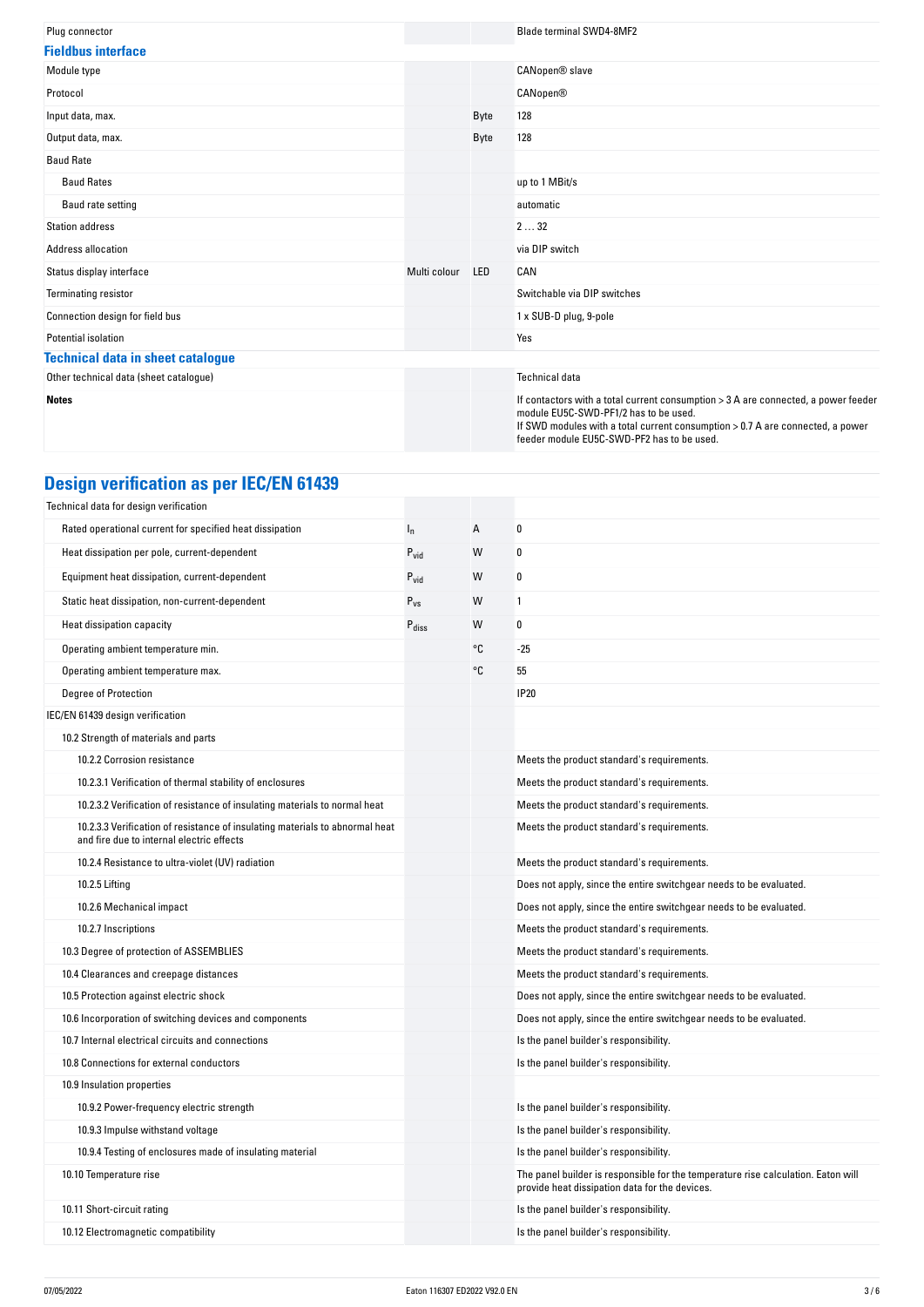| Plug connector                           |              |            | <b>Blade terminal SWD4-8MF2</b>                                                                                                                                                                                                                             |
|------------------------------------------|--------------|------------|-------------------------------------------------------------------------------------------------------------------------------------------------------------------------------------------------------------------------------------------------------------|
| <b>Fieldbus interface</b>                |              |            |                                                                                                                                                                                                                                                             |
| Module type                              |              |            | CANopen® slave                                                                                                                                                                                                                                              |
| Protocol                                 |              |            | <b>CANopen®</b>                                                                                                                                                                                                                                             |
| Input data, max.                         |              | Byte       | 128                                                                                                                                                                                                                                                         |
| Output data, max.                        |              | Byte       | 128                                                                                                                                                                                                                                                         |
| <b>Baud Rate</b>                         |              |            |                                                                                                                                                                                                                                                             |
| <b>Baud Rates</b>                        |              |            | up to 1 MBit/s                                                                                                                                                                                                                                              |
| Baud rate setting                        |              |            | automatic                                                                                                                                                                                                                                                   |
| <b>Station address</b>                   |              |            | 232                                                                                                                                                                                                                                                         |
| Address allocation                       |              |            | via DIP switch                                                                                                                                                                                                                                              |
| Status display interface                 | Multi colour | <b>LED</b> | CAN                                                                                                                                                                                                                                                         |
| <b>Terminating resistor</b>              |              |            | Switchable via DIP switches                                                                                                                                                                                                                                 |
| Connection design for field bus          |              |            | 1 x SUB-D plug, 9-pole                                                                                                                                                                                                                                      |
| Potential isolation                      |              |            | Yes                                                                                                                                                                                                                                                         |
| <b>Technical data in sheet catalogue</b> |              |            |                                                                                                                                                                                                                                                             |
| Other technical data (sheet catalogue)   |              |            | <b>Technical data</b>                                                                                                                                                                                                                                       |
| <b>Notes</b>                             |              |            | If contactors with a total current consumption > 3 A are connected, a power feeder<br>module EU5C-SWD-PF1/2 has to be used.<br>If SWD modules with a total current consumption > 0.7 A are connected, a power<br>feeder module EU5C-SWD-PF2 has to be used. |

# **Design verification as per IEC/EN 61439**

| Technical data for design verification                                                                                    |                   |    |                                                                                                                                     |
|---------------------------------------------------------------------------------------------------------------------------|-------------------|----|-------------------------------------------------------------------------------------------------------------------------------------|
| Rated operational current for specified heat dissipation                                                                  | $I_{n}$           | А  | 0                                                                                                                                   |
| Heat dissipation per pole, current-dependent                                                                              | $P_{vid}$         | W  | $\boldsymbol{0}$                                                                                                                    |
| Equipment heat dissipation, current-dependent                                                                             | $P_{\text{vid}}$  | W  | 0                                                                                                                                   |
| Static heat dissipation, non-current-dependent                                                                            | $P_{VS}$          | W  | 1                                                                                                                                   |
| Heat dissipation capacity                                                                                                 | $P_{\text{diss}}$ | W  | 0                                                                                                                                   |
| Operating ambient temperature min.                                                                                        |                   | °C | $-25$                                                                                                                               |
| Operating ambient temperature max.                                                                                        |                   | °C | 55                                                                                                                                  |
| Degree of Protection                                                                                                      |                   |    | <b>IP20</b>                                                                                                                         |
| IEC/EN 61439 design verification                                                                                          |                   |    |                                                                                                                                     |
| 10.2 Strength of materials and parts                                                                                      |                   |    |                                                                                                                                     |
| 10.2.2 Corrosion resistance                                                                                               |                   |    | Meets the product standard's requirements.                                                                                          |
| 10.2.3.1 Verification of thermal stability of enclosures                                                                  |                   |    | Meets the product standard's requirements.                                                                                          |
| 10.2.3.2 Verification of resistance of insulating materials to normal heat                                                |                   |    | Meets the product standard's requirements.                                                                                          |
| 10.2.3.3 Verification of resistance of insulating materials to abnormal heat<br>and fire due to internal electric effects |                   |    | Meets the product standard's requirements.                                                                                          |
| 10.2.4 Resistance to ultra-violet (UV) radiation                                                                          |                   |    | Meets the product standard's requirements.                                                                                          |
| 10.2.5 Lifting                                                                                                            |                   |    | Does not apply, since the entire switchgear needs to be evaluated.                                                                  |
| 10.2.6 Mechanical impact                                                                                                  |                   |    | Does not apply, since the entire switchgear needs to be evaluated.                                                                  |
| 10.2.7 Inscriptions                                                                                                       |                   |    | Meets the product standard's requirements.                                                                                          |
| 10.3 Degree of protection of ASSEMBLIES                                                                                   |                   |    | Meets the product standard's requirements.                                                                                          |
| 10.4 Clearances and creepage distances                                                                                    |                   |    | Meets the product standard's requirements.                                                                                          |
| 10.5 Protection against electric shock                                                                                    |                   |    | Does not apply, since the entire switchgear needs to be evaluated.                                                                  |
| 10.6 Incorporation of switching devices and components                                                                    |                   |    | Does not apply, since the entire switchgear needs to be evaluated.                                                                  |
| 10.7 Internal electrical circuits and connections                                                                         |                   |    | Is the panel builder's responsibility.                                                                                              |
| 10.8 Connections for external conductors                                                                                  |                   |    | Is the panel builder's responsibility.                                                                                              |
| 10.9 Insulation properties                                                                                                |                   |    |                                                                                                                                     |
| 10.9.2 Power-frequency electric strength                                                                                  |                   |    | Is the panel builder's responsibility.                                                                                              |
| 10.9.3 Impulse withstand voltage                                                                                          |                   |    | Is the panel builder's responsibility.                                                                                              |
| 10.9.4 Testing of enclosures made of insulating material                                                                  |                   |    | Is the panel builder's responsibility.                                                                                              |
| 10.10 Temperature rise                                                                                                    |                   |    | The panel builder is responsible for the temperature rise calculation. Eaton will<br>provide heat dissipation data for the devices. |
| 10.11 Short-circuit rating                                                                                                |                   |    | Is the panel builder's responsibility.                                                                                              |
| 10.12 Electromagnetic compatibility                                                                                       |                   |    | Is the panel builder's responsibility.                                                                                              |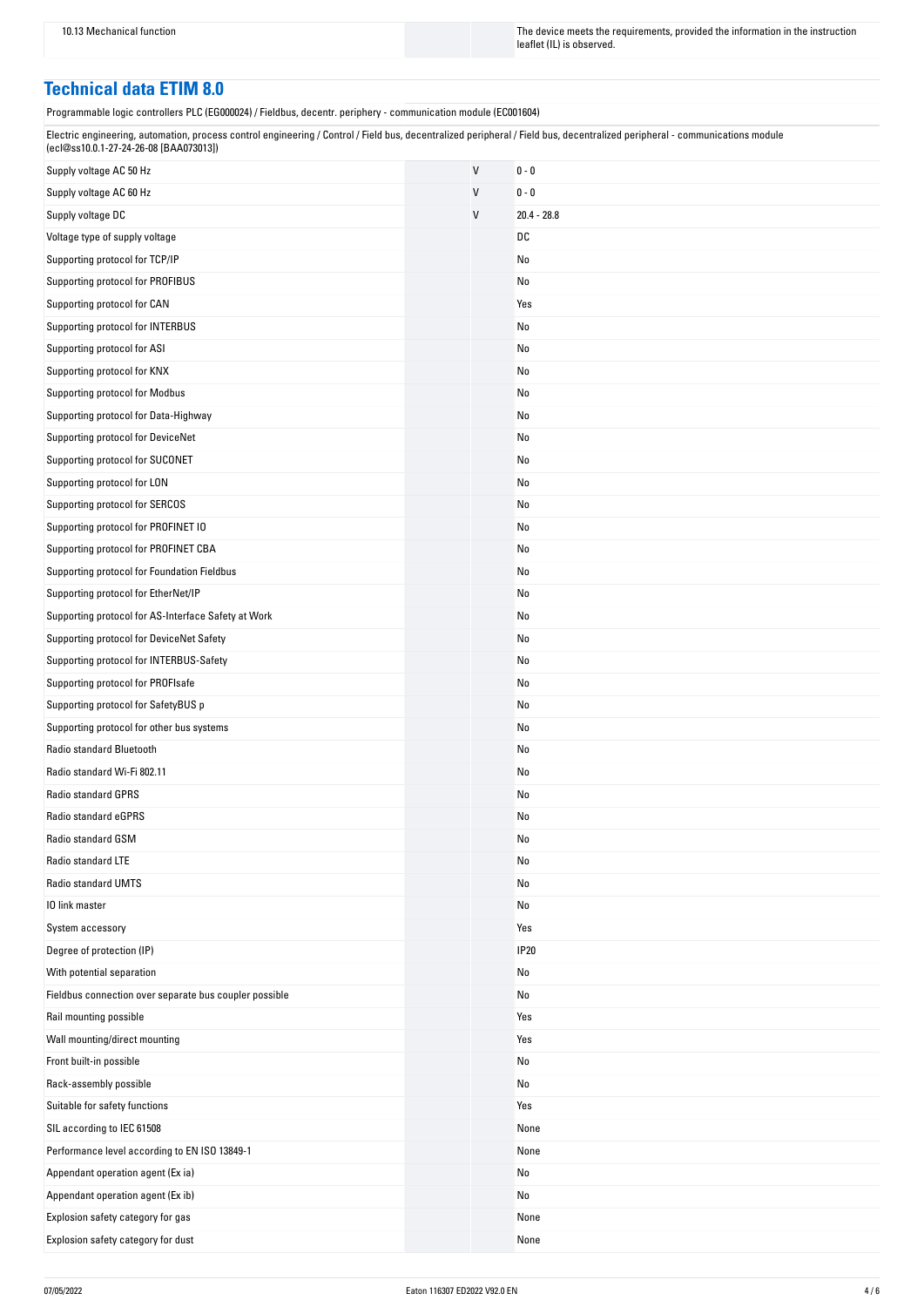10.13 Mechanical function The instruction The device meets the requirements, provided the information in the instruction leaflet (IL) is observed.

### **Technical data ETIM 8.0**

Programmable logic controllers PLC (EG000024) / Fieldbus, decentr. periphery - communication module (EC001604)

| Electric engineering, automation, process control engineering / Control / Field bus, decentralized peripheral / Field bus, decentralized peripheral - communications module |  |
|-----------------------------------------------------------------------------------------------------------------------------------------------------------------------------|--|
| (ecl@ss10.0.1-27-24-26-08 [BAA073013])                                                                                                                                      |  |

| Supply voltage AC 50 Hz                                | V | $0 - 0$       |
|--------------------------------------------------------|---|---------------|
| Supply voltage AC 60 Hz                                | V | $0 - 0$       |
| Supply voltage DC                                      | V | $20.4 - 28.8$ |
| Voltage type of supply voltage                         |   | DC            |
| Supporting protocol for TCP/IP                         |   | No            |
| Supporting protocol for PROFIBUS                       |   | No            |
| Supporting protocol for CAN                            |   | Yes           |
| Supporting protocol for INTERBUS                       |   | No            |
| Supporting protocol for ASI                            |   | No            |
| Supporting protocol for KNX                            |   | No            |
| Supporting protocol for Modbus                         |   | No            |
| Supporting protocol for Data-Highway                   |   | No            |
| Supporting protocol for DeviceNet                      |   | No            |
| Supporting protocol for SUCONET                        |   | No            |
| Supporting protocol for LON                            |   | No            |
| Supporting protocol for SERCOS                         |   | No            |
| Supporting protocol for PROFINET IO                    |   | No            |
| Supporting protocol for PROFINET CBA                   |   | No            |
| Supporting protocol for Foundation Fieldbus            |   | No            |
| Supporting protocol for EtherNet/IP                    |   | No            |
| Supporting protocol for AS-Interface Safety at Work    |   | No            |
| Supporting protocol for DeviceNet Safety               |   | No            |
| Supporting protocol for INTERBUS-Safety                |   | No            |
| Supporting protocol for PROFIsafe                      |   | No            |
| Supporting protocol for SafetyBUS p                    |   | No            |
| Supporting protocol for other bus systems              |   | No            |
| Radio standard Bluetooth                               |   | No            |
| Radio standard Wi-Fi 802.11                            |   | No            |
| <b>Radio standard GPRS</b>                             |   | No            |
| Radio standard eGPRS                                   |   | No            |
| Radio standard GSM                                     |   | No            |
| Radio standard LTE                                     |   | No            |
| Radio standard UMTS                                    |   | No            |
| 10 link master                                         |   | No            |
| System accessory                                       |   | Yes           |
| Degree of protection (IP)                              |   | <b>IP20</b>   |
| With potential separation                              |   | No            |
| Fieldbus connection over separate bus coupler possible |   | No            |
| Rail mounting possible                                 |   | Yes           |
| Wall mounting/direct mounting                          |   | Yes           |
| Front built-in possible                                |   | No            |
| Rack-assembly possible                                 |   | No            |
| Suitable for safety functions                          |   | Yes           |
| SIL according to IEC 61508                             |   | None          |
| Performance level according to EN ISO 13849-1          |   | None          |
| Appendant operation agent (Ex ia)                      |   | No            |
| Appendant operation agent (Ex ib)                      |   | No            |
| Explosion safety category for gas                      |   | None          |
| Explosion safety category for dust                     |   | None          |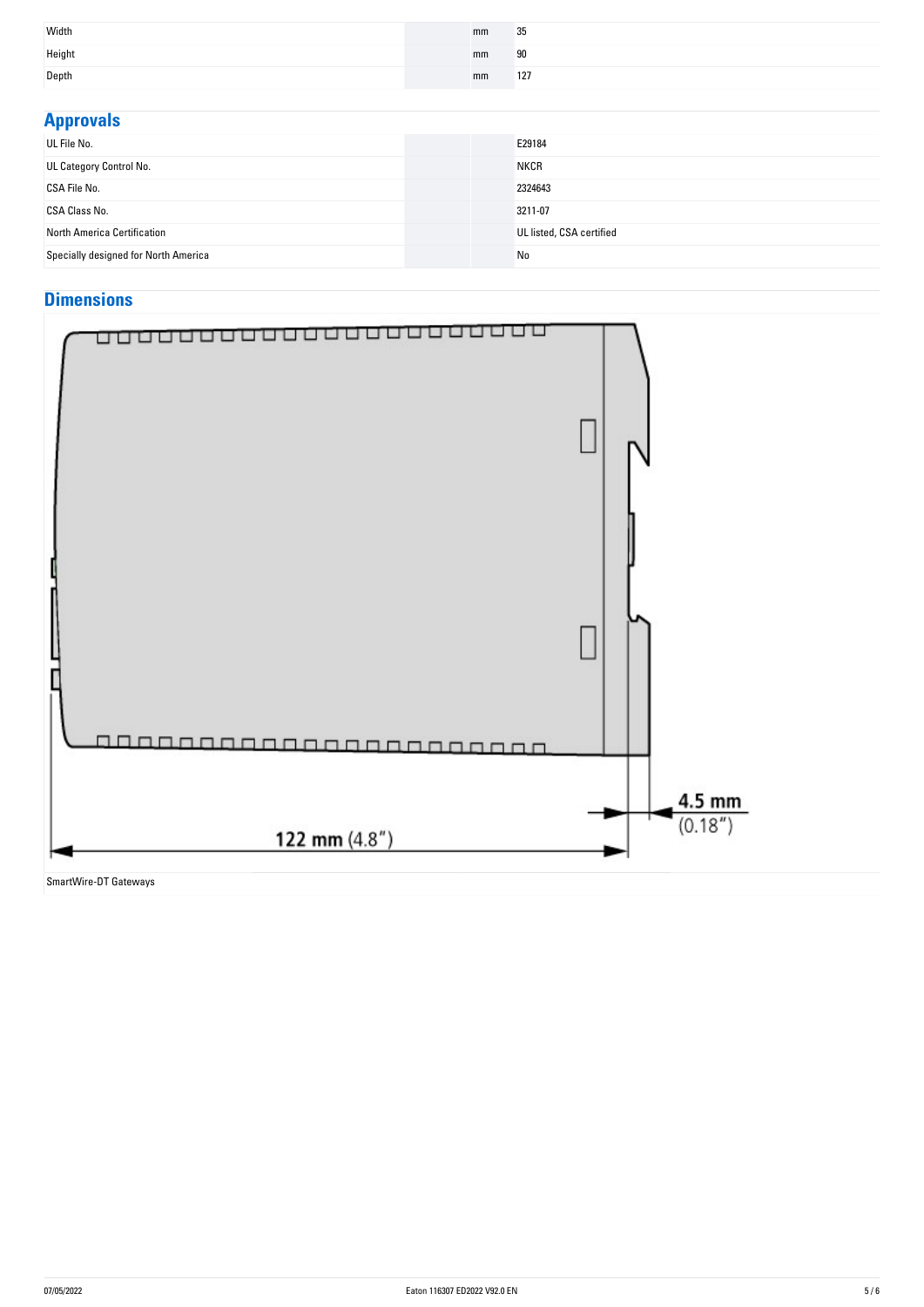| Width  | mm | 35  |
|--------|----|-----|
| Height | mm | 90  |
| Depth  | mm | 127 |

| <b>Approvals</b>                     |                          |
|--------------------------------------|--------------------------|
| UL File No.                          | E29184                   |
| UL Category Control No.              | <b>NKCR</b>              |
| CSA File No.                         | 2324643                  |
| <b>CSA Class No.</b>                 | 3211-07                  |
| North America Certification          | UL listed, CSA certified |
| Specially designed for North America | No                       |

## **Dimensions**



SmartWire-DT Gateways